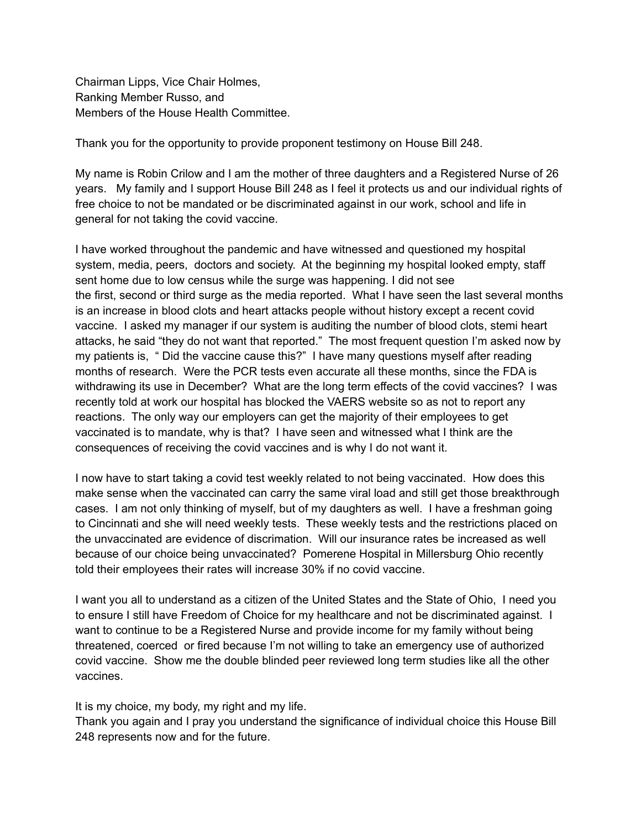Chairman Lipps, Vice Chair Holmes, Ranking Member Russo, and Members of the House Health Committee.

Thank you for the opportunity to provide proponent testimony on House Bill 248.

My name is Robin Crilow and I am the mother of three daughters and a Registered Nurse of 26 years. My family and I support House Bill 248 as I feel it protects us and our individual rights of free choice to not be mandated or be discriminated against in our work, school and life in general for not taking the covid vaccine.

I have worked throughout the pandemic and have witnessed and questioned my hospital system, media, peers, doctors and society. At the beginning my hospital looked empty, staff sent home due to low census while the surge was happening. I did not see the first, second or third surge as the media reported. What I have seen the last several months is an increase in blood clots and heart attacks people without history except a recent covid vaccine. I asked my manager if our system is auditing the number of blood clots, stemi heart attacks, he said "they do not want that reported." The most frequent question I'm asked now by my patients is, " Did the vaccine cause this?" I have many questions myself after reading months of research. Were the PCR tests even accurate all these months, since the FDA is withdrawing its use in December? What are the long term effects of the covid vaccines? I was recently told at work our hospital has blocked the VAERS website so as not to report any reactions. The only way our employers can get the majority of their employees to get vaccinated is to mandate, why is that? I have seen and witnessed what I think are the consequences of receiving the covid vaccines and is why I do not want it.

I now have to start taking a covid test weekly related to not being vaccinated. How does this make sense when the vaccinated can carry the same viral load and still get those breakthrough cases. I am not only thinking of myself, but of my daughters as well. I have a freshman going to Cincinnati and she will need weekly tests. These weekly tests and the restrictions placed on the unvaccinated are evidence of discrimation. Will our insurance rates be increased as well because of our choice being unvaccinated? Pomerene Hospital in Millersburg Ohio recently told their employees their rates will increase 30% if no covid vaccine.

I want you all to understand as a citizen of the United States and the State of Ohio, I need you to ensure I still have Freedom of Choice for my healthcare and not be discriminated against. I want to continue to be a Registered Nurse and provide income for my family without being threatened, coerced or fired because I'm not willing to take an emergency use of authorized covid vaccine. Show me the double blinded peer reviewed long term studies like all the other vaccines.

It is my choice, my body, my right and my life.

Thank you again and I pray you understand the significance of individual choice this House Bill 248 represents now and for the future.